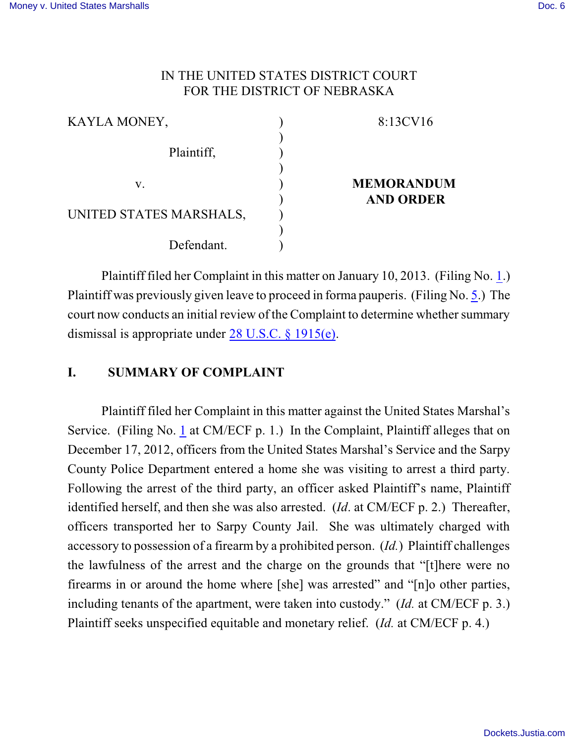## IN THE UNITED STATES DISTRICT COURT FOR THE DISTRICT OF NEBRASKA

| KAYLA MONEY,            |  | 8:13CV16                              |
|-------------------------|--|---------------------------------------|
| Plaintiff,              |  |                                       |
| V.                      |  | <b>MEMORANDUM</b><br><b>AND ORDER</b> |
| UNITED STATES MARSHALS, |  |                                       |
| Defendant.              |  |                                       |

Plaintiff filed her Complaint in this matter on January 10, 2013. (Filing No. [1](http://ecf.ned.uscourts.gov/doc1/11302690638).) Plaintiff was previously given leave to proceed in forma pauperis. (Filing No. [5](http://ecf.ned.uscourts.gov/doc1/11302722396).) The court now conducts an initial review of the Complaint to determine whether summary dismissal is appropriate under [28 U.S.C. § 1915\(e\)](http://www.westlaw.com/find/default.wl?rs=CLWP3.0&vr=2.0&cite=28+USCA+ss+1915%28e%29).

# **I. SUMMARY OF COMPLAINT**

Plaintiff filed her Complaint in this matter against the United States Marshal's Service. (Filing No. [1](http://ecf.ned.uscourts.gov/doc1/11302690638) at CM/ECF p. 1.) In the Complaint, Plaintiff alleges that on December 17, 2012, officers from the United States Marshal's Service and the Sarpy County Police Department entered a home she was visiting to arrest a third party. Following the arrest of the third party, an officer asked Plaintiff's name, Plaintiff identified herself, and then she was also arrested. (*Id*. at CM/ECF p. 2.) Thereafter, officers transported her to Sarpy County Jail. She was ultimately charged with accessory to possession of a firearm by a prohibited person. (*Id.*) Plaintiff challenges the lawfulness of the arrest and the charge on the grounds that "[t]here were no firearms in or around the home where [she] was arrested" and "[n]o other parties, including tenants of the apartment, were taken into custody." (*Id.* at CM/ECF p. 3.) Plaintiff seeks unspecified equitable and monetary relief. (*Id.* at CM/ECF p. 4.)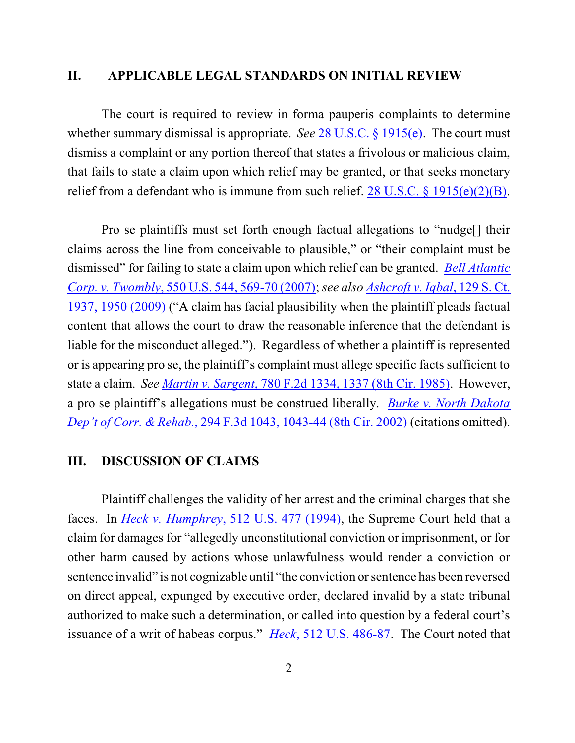#### **II. APPLICABLE LEGAL STANDARDS ON INITIAL REVIEW**

The court is required to review in forma pauperis complaints to determine whether summary dismissal is appropriate. *See* 28 [U.S.C. §](http://www.westlaw.com/find/default.wl?rs=CLWP3.0&vr=2.0&cite=28+USCA+ss+1915%28e%29) 1915(e). The court must dismiss a complaint or any portion thereof that states a frivolous or malicious claim, that fails to state a claim upon which relief may be granted, or that seeks monetary relief from a defendant who is immune from such relief.  $28 \text{ U.S.C.}$  §  $1915(e)(2)(B)$ .

Pro se plaintiffs must set forth enough factual allegations to "nudge[] their claims across the line from conceivable to plausible," or "their complaint must be dismissed" for failing to state a claim upon which relief can be granted. *Bell [Atlantic](http://www.westlaw.com/find/default.wl?rs=CLWP3.0&vr=2.0&cite=550+U.S.+544) [Corp. v. Twombly](http://www.westlaw.com/find/default.wl?rs=CLWP3.0&vr=2.0&cite=550+U.S.+544)*, 550 U.S. 544, 569-70 (2007);*see also [Ashcroft v. Iqbal](http://www.westlaw.com/find/default.wl?rs=CLWP3.0&vr=2.0&cite=129+S.Ct.+1937)*, 129 S. Ct. [1937, 1950](http://www.westlaw.com/find/default.wl?rs=CLWP3.0&vr=2.0&cite=129+S.Ct.+1937) (2009) ("A claim has facial plausibility when the plaintiff pleads factual content that allows the court to draw the reasonable inference that the defendant is liable for the misconduct alleged."). Regardless of whether a plaintiff is represented or is appearing pro se, the plaintiff's complaint must allege specific facts sufficient to state a claim. *See [Martin v. Sargent](http://www.westlaw.com/find/default.wl?rs=CLWP3.0&vr=2.0&cite=780+F.2d+1334)*, 780 F.2d 1334, 1337 (8th Cir. 1985). However, a pro se plaintiff's allegations must be construed liberally. *[Burke v. North](http://www.westlaw.com/find/default.wl?rs=CLWP3.0&vr=2.0&cite=294+F.3d+1043) Dakota Dep't of Corr. & Rehab.*, 294 F.3d [1043, 1043-44 \(8th](http://www.westlaw.com/find/default.wl?rs=CLWP3.0&vr=2.0&cite=294+F.3d+1043) Cir. 2002) (citations omitted).

### **III. DISCUSSION OF CLAIMS**

Plaintiff challenges the validity of her arrest and the criminal charges that she faces. In *Heck v. Humphrey*, 512 [U.S. 477 \(1994\)](http://www.westlaw.com/find/default.wl?rs=CLWP3.0&vr=2.0&cite=512+U.S.+477), the Supreme Court held that a claim for damages for "allegedly unconstitutional conviction or imprisonment, or for other harm caused by actions whose unlawfulness would render a conviction or sentence invalid" is not cognizable until "the conviction or sentence has been reversed on direct appeal, expunged by executive order, declared invalid by a state tribunal authorized to make such a determination, or called into question by a federal court's issuance of a writ of habeas corpus." *Heck*, [512 U.S. 486-87](http://www.westlaw.com/find/default.wl?rs=CLWP3.0&vr=2.0&cite=512+U.S.+486). The Court noted that